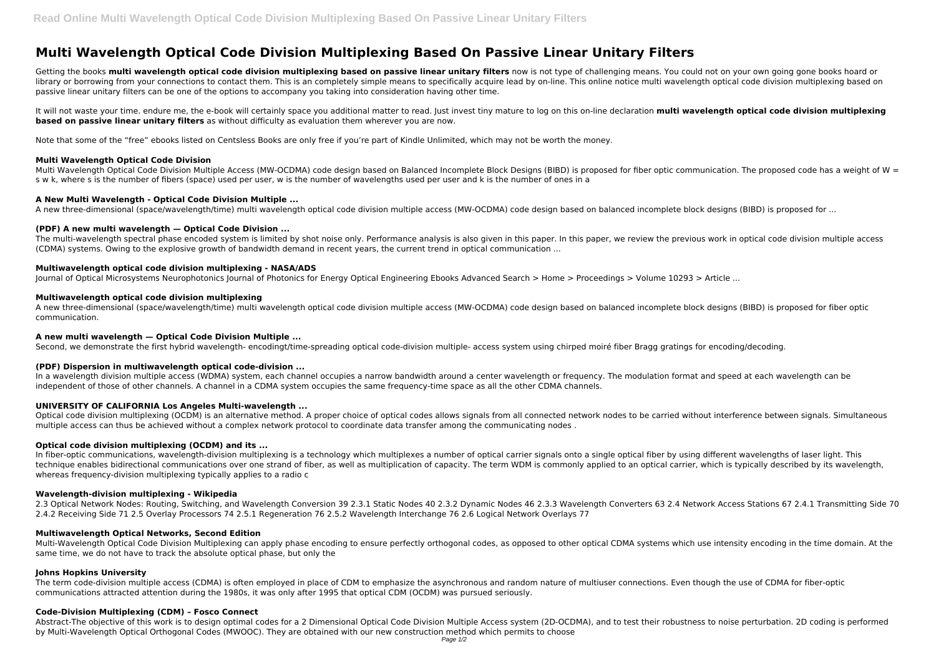# **Multi Wavelength Optical Code Division Multiplexing Based On Passive Linear Unitary Filters**

Getting the books multi wavelength optical code division multiplexing based on passive linear unitary filters now is not type of challenging means. You could not on your own going gone books hoard or library or borrowing from your connections to contact them. This is an completely simple means to specifically acquire lead by on-line. This online notice multi wavelength optical code division multiplexing based on passive linear unitary filters can be one of the options to accompany you taking into consideration having other time.

It will not waste your time. endure me, the e-book will certainly space you additional matter to read. Just invest tiny mature to log on this on-line declaration multi wavelength optical code division multiplexing **based on passive linear unitary filters** as without difficulty as evaluation them wherever you are now.

Multi Wavelength Optical Code Division Multiple Access (MW-OCDMA) code design based on Balanced Incomplete Block Designs (BIBD) is proposed for fiber optic communication. The proposed code has a weight of W = s w k, where s is the number of fibers (space) used per user, w is the number of wavelengths used per user and k is the number of ones in a

Note that some of the "free" ebooks listed on Centsless Books are only free if you're part of Kindle Unlimited, which may not be worth the money.

The multi-wavelength spectral phase encoded system is limited by shot noise only. Performance analysis is also given in this paper. In this paper, we review the previous work in optical code division multiple access (CDMA) systems. Owing to the explosive growth of bandwidth demand in recent years, the current trend in optical communication ...

#### **Multi Wavelength Optical Code Division**

#### **A New Multi Wavelength - Optical Code Division Multiple ...**

A new three-dimensional (space/wavelength/time) multi wavelength optical code division multiple access (MW-OCDMA) code design based on balanced incomplete block designs (BIBD) is proposed for ...

### **(PDF) A new multi wavelength — Optical Code Division ...**

Optical code division multiplexing (OCDM) is an alternative method. A proper choice of optical codes allows signals from all connected network nodes to be carried without interference between signals. Simultaneous multiple access can thus be achieved without a complex network protocol to coordinate data transfer among the communicating nodes .

In fiber-optic communications, wavelength-division multiplexing is a technology which multiplexes a number of optical carrier signals onto a single optical fiber by using different wavelengths of laser light. This technique enables bidirectional communications over one strand of fiber, as well as multiplication of capacity. The term WDM is commonly applied to an optical carrier, which is typically described by its wavelength, whereas frequency-division multiplexing typically applies to a radio c

#### **Multiwavelength optical code division multiplexing - NASA/ADS**

Journal of Optical Microsystems Neurophotonics Journal of Photonics for Energy Optical Engineering Ebooks Advanced Search > Home > Proceedings > Volume 10293 > Article ...

#### **Multiwavelength optical code division multiplexing**

A new three-dimensional (space/wavelength/time) multi wavelength optical code division multiple access (MW-OCDMA) code design based on balanced incomplete block designs (BIBD) is proposed for fiber optic communication.

# **A new multi wavelength — Optical Code Division Multiple ...**

Second, we demonstrate the first hybrid wavelength- encodingt/time-spreading optical code-division multiple- access system using chirped moiré fiber Bragg gratings for encoding/decoding.

# **(PDF) Dispersion in multiwavelength optical code-division ...**

In a wavelength division multiple access (WDMA) system, each channel occupies a narrow bandwidth around a center wavelength or frequency. The modulation format and speed at each wavelength can be independent of those of other channels. A channel in a CDMA system occupies the same frequency-time space as all the other CDMA channels.

# **UNIVERSITY OF CALIFORNIA Los Angeles Multi-wavelength ...**

# **Optical code division multiplexing (OCDM) and its ...**

### **Wavelength-division multiplexing - Wikipedia**

2.3 Optical Network Nodes: Routing, Switching, and Wavelength Conversion 39 2.3.1 Static Nodes 40 2.3.2 Dynamic Nodes 46 2.3.3 Wavelength Converters 63 2.4 Network Access Stations 67 2.4.1 Transmitting Side 70 2.4.2 Receiving Side 71 2.5 Overlay Processors 74 2.5.1 Regeneration 76 2.5.2 Wavelength Interchange 76 2.6 Logical Network Overlays 77

# **Multiwavelength Optical Networks, Second Edition**

Multi-Wavelength Optical Code Division Multiplexing can apply phase encoding to ensure perfectly orthogonal codes, as opposed to other optical CDMA systems which use intensity encoding in the time domain. At the same time, we do not have to track the absolute optical phase, but only the

# **Johns Hopkins University**

The term code-division multiple access (CDMA) is often employed in place of CDM to emphasize the asynchronous and random nature of multiuser connections. Even though the use of CDMA for fiber-optic communications attracted attention during the 1980s, it was only after 1995 that optical CDM (OCDM) was pursued seriously.

#### **Code-Division Multiplexing (CDM) – Fosco Connect**

Abstract-The objective of this work is to design optimal codes for a 2 Dimensional Optical Code Division Multiple Access system (2D-OCDMA), and to test their robustness to noise perturbation. 2D coding is performed by Multi-Wavelength Optical Orthogonal Codes (MWOOC). They are obtained with our new construction method which permits to choose